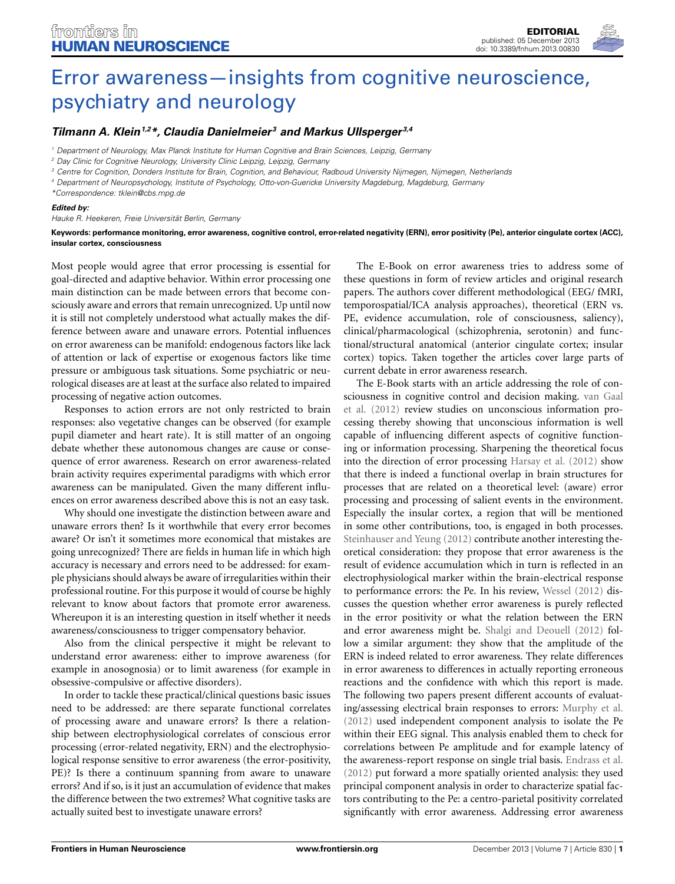

## *[Tilmann A. Klein1](http://www.frontiersin.org/people/u/28937),2\*, [Claudia Danielmeier](http://www.frontiersin.org/people/u/5380) <sup>3</sup> and [Markus Ullsperger](http://www.frontiersin.org/people/u/295) 3,4*

*<sup>1</sup> Department of Neurology, Max Planck Institute for Human Cognitive and Brain Sciences, Leipzig, Germany*

*<sup>2</sup> Day Clinic for Cognitive Neurology, University Clinic Leipzig, Leipzig, Germany*

*<sup>3</sup> Centre for Cognition, Donders Institute for Brain, Cognition, and Behaviour, Radboud University Nijmegen, Nijmegen, Netherlands*

*<sup>4</sup> Department of Neuropsychology, Institute of Psychology, Otto-von-Guericke University Magdeburg, Magdeburg, Germany*

*\*Correspondence: tklein@cbs.mpg.de*

## *Edited by:*

*Hauke R. Heekeren, Freie Universität Berlin, Germany*

**Keywords: performance monitoring, error awareness, cognitive control, error-related negativity (ERN), error positivity (Pe), anterior cingulate cortex (ACC), insular cortex, consciousness**

Most people would agree that error processing is essential for goal-directed and adaptive behavior. Within error processing one main distinction can be made between errors that become consciously aware and errors that remain unrecognized. Up until now it is still not completely understood what actually makes the difference between aware and unaware errors. Potential influences on error awareness can be manifold: endogenous factors like lack of attention or lack of expertise or exogenous factors like time pressure or ambiguous task situations. Some psychiatric or neurological diseases are at least at the surface also related to impaired processing of negative action outcomes.

Responses to action errors are not only restricted to brain responses: also vegetative changes can be observed (for example pupil diameter and heart rate). It is still matter of an ongoing debate whether these autonomous changes are cause or consequence of error awareness. Research on error awareness-related brain activity requires experimental paradigms with which error awareness can be manipulated. Given the many different influences on error awareness described above this is not an easy task.

Why should one investigate the distinction between aware and unaware errors then? Is it worthwhile that every error becomes aware? Or isn't it sometimes more economical that mistakes are going unrecognized? There are fields in human life in which high accuracy is necessary and errors need to be addressed: for example physicians should always be aware of irregularities within their professional routine. For this purpose it would of course be highly relevant to know about factors that promote error awareness. Whereupon it is an interesting question in itself whether it needs awareness/consciousness to trigger compensatory behavior.

Also from the clinical perspective it might be relevant to understand error awareness: either to improve awareness (for example in anosognosia) or to limit awareness (for example in obsessive-compulsive or affective disorders).

In order to tackle these practical/clinical questions basic issues need to be addressed: are there separate functional correlates of processing aware and unaware errors? Is there a relationship between electrophysiological correlates of conscious error processing (error-related negativity, ERN) and the electrophysiological response sensitive to error awareness (the error-positivity, PE)? Is there a continuum spanning from aware to unaware errors? And if so, is it just an accumulation of evidence that makes the difference between the two extremes? What cognitive tasks are actually suited best to investigate unaware errors?

The E-Book on error awareness tries to address some of these questions in form of review articles and original research papers. The authors cover different methodological (EEG/ fMRI, temporospatial/ICA analysis approaches), theoretical (ERN vs. PE, evidence accumulation, role of consciousness, saliency), clinical/pharmacological (schizophrenia, serotonin) and functional/structural anatomical (anterior cingulate cortex; insular cortex) topics. Taken together the articles cover large parts of current debate in error awareness research.

The E-Book starts with an article addressing the role of conscio[usness in cognitive control and decision making.](#page-1-0) van Gaal et al. [\(2012](#page-1-0)) review studies on unconscious information processing thereby showing that unconscious information is well capable of influencing different aspects of cognitive functioning or information processing. Sharpening the theoretical focus into the direction of error processing [Harsay et al.](#page-1-1) [\(2012\)](#page-1-1) show that there is indeed a functional overlap in brain structures for processes that are related on a theoretical level: (aware) error processing and processing of salient events in the environment. Especially the insular cortex, a region that will be mentioned in some other contributions, too, is engaged in both processes. [Steinhauser and Yeung](#page-1-2) [\(2012\)](#page-1-2) contribute another interesting theoretical consideration: they propose that error awareness is the result of evidence accumulation which in turn is reflected in an electrophysiological marker within the brain-electrical response to performance errors: the Pe. In his review, [Wessel](#page-1-3) [\(2012\)](#page-1-3) discusses the question whether error awareness is purely reflected in the error positivity or what the relation between the ERN and error awareness might be. [Shalgi and Deouell](#page-1-4) [\(2012\)](#page-1-4) follow a similar argument: they show that the amplitude of the ERN is indeed related to error awareness. They relate differences in error awareness to differences in actually reporting erroneous reactions and the confidence with which this report is made. The following two papers present different accounts of evaluating/assessing electrical brain responses to errors: [Murphy et al.](#page-1-5) [\(2012\)](#page-1-5) used independent component analysis to isolate the Pe within their EEG signal. This analysis enabled them to check for correlations between Pe amplitude and for example latency of the awareness-report response on single trial basis. [Endrass et al.](#page-1-6) [\(2012\)](#page-1-6) put forward a more spatially oriented analysis: they used principal component analysis in order to characterize spatial factors contributing to the Pe: a centro-parietal positivity correlated significantly with error awareness. Addressing error awareness